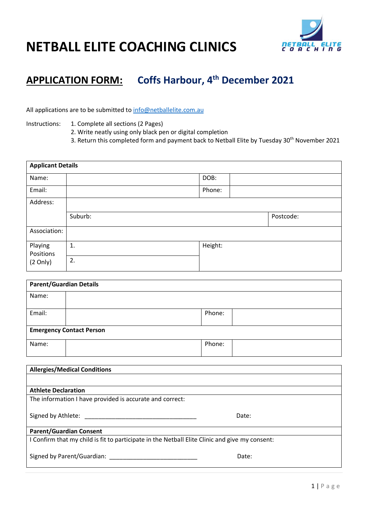

## **NETBALL ELITE COACHING CLINICS**

### **APPLICATION FORM: Coffs Harbour, 4 th December 2021**

All applications are to be submitted to [info@netballelite.com.au](mailto:info@netballelite.com.au)

Instructions: 1. Complete all sections (2 Pages)

2. Write neatly using only black pen or digital completion

3. Return this completed form and payment back to Netball Elite by Tuesday 30<sup>th</sup> November 2021

| <b>Applicant Details</b>                   |                |         |           |  |
|--------------------------------------------|----------------|---------|-----------|--|
| Name:                                      |                | DOB:    |           |  |
| Email:                                     |                | Phone:  |           |  |
| Address:                                   |                |         |           |  |
|                                            | Suburb:        |         | Postcode: |  |
| Association:                               |                |         |           |  |
| Playing<br>Positions<br>$(2 \text{ Only})$ | $\mathbf{1}$ . | Height: |           |  |
|                                            | 2.             |         |           |  |

| <b>Parent/Guardian Details</b>  |        |  |  |  |
|---------------------------------|--------|--|--|--|
| Name:                           |        |  |  |  |
| Email:                          | Phone: |  |  |  |
| <b>Emergency Contact Person</b> |        |  |  |  |
| Name:                           | Phone: |  |  |  |

| <b>Allergies/Medical Conditions</b>                                                            |       |  |
|------------------------------------------------------------------------------------------------|-------|--|
|                                                                                                |       |  |
| <b>Athlete Declaration</b>                                                                     |       |  |
| The information I have provided is accurate and correct:                                       |       |  |
|                                                                                                |       |  |
| Signed by Athlete:                                                                             | Date: |  |
|                                                                                                |       |  |
| <b>Parent/Guardian Consent</b>                                                                 |       |  |
| I Confirm that my child is fit to participate in the Netball Elite Clinic and give my consent: |       |  |
|                                                                                                |       |  |
| Signed by Parent/Guardian:                                                                     | Date: |  |
|                                                                                                |       |  |